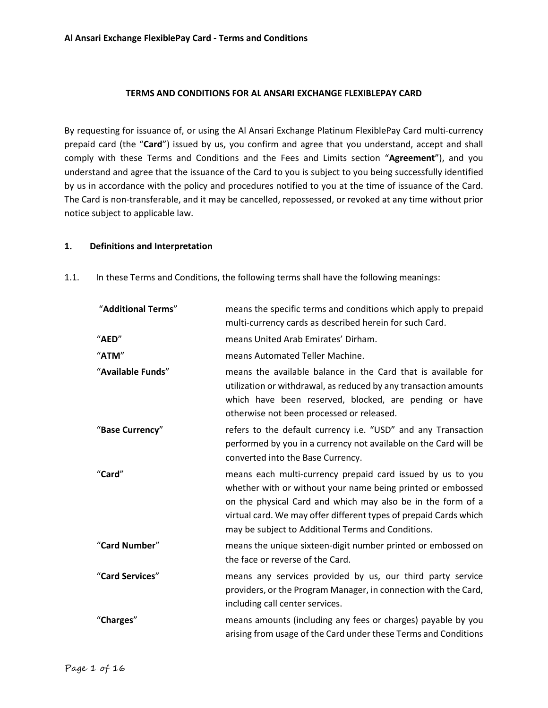# **TERMS AND CONDITIONS FOR AL ANSARI EXCHANGE FLEXIBLEPAY CARD**

By requesting for issuance of, or using the Al Ansari Exchange Platinum FlexiblePay Card multi-currency prepaid card (the "**Card**") issued by us, you confirm and agree that you understand, accept and shall comply with these Terms and Conditions and the Fees and Limits section "**Agreement**"), and you understand and agree that the issuance of the Card to you is subject to you being successfully identified by us in accordance with the policy and procedures notified to you at the time of issuance of the Card. The Card is non-transferable, and it may be cancelled, repossessed, or revoked at any time without prior notice subject to applicable law.

## **1. Definitions and Interpretation**

| "Additional Terms" | means the specific terms and conditions which apply to prepaid<br>multi-currency cards as described herein for such Card.                                                                                                                                                                                           |  |
|--------------------|---------------------------------------------------------------------------------------------------------------------------------------------------------------------------------------------------------------------------------------------------------------------------------------------------------------------|--|
| "AED"              | means United Arab Emirates' Dirham.                                                                                                                                                                                                                                                                                 |  |
| "ATM"              | means Automated Teller Machine.                                                                                                                                                                                                                                                                                     |  |
| "Available Funds"  | means the available balance in the Card that is available for<br>utilization or withdrawal, as reduced by any transaction amounts<br>which have been reserved, blocked, are pending or have<br>otherwise not been processed or released.                                                                            |  |
| "Base Currency"    | refers to the default currency i.e. "USD" and any Transaction<br>performed by you in a currency not available on the Card will be<br>converted into the Base Currency.                                                                                                                                              |  |
| "Card"             | means each multi-currency prepaid card issued by us to you<br>whether with or without your name being printed or embossed<br>on the physical Card and which may also be in the form of a<br>virtual card. We may offer different types of prepaid Cards which<br>may be subject to Additional Terms and Conditions. |  |
| "Card Number"      | means the unique sixteen-digit number printed or embossed on<br>the face or reverse of the Card.                                                                                                                                                                                                                    |  |
| "Card Services"    | means any services provided by us, our third party service<br>providers, or the Program Manager, in connection with the Card,<br>including call center services.                                                                                                                                                    |  |
| "Charges"          | means amounts (including any fees or charges) payable by you<br>arising from usage of the Card under these Terms and Conditions                                                                                                                                                                                     |  |

1.1. In these Terms and Conditions, the following terms shall have the following meanings: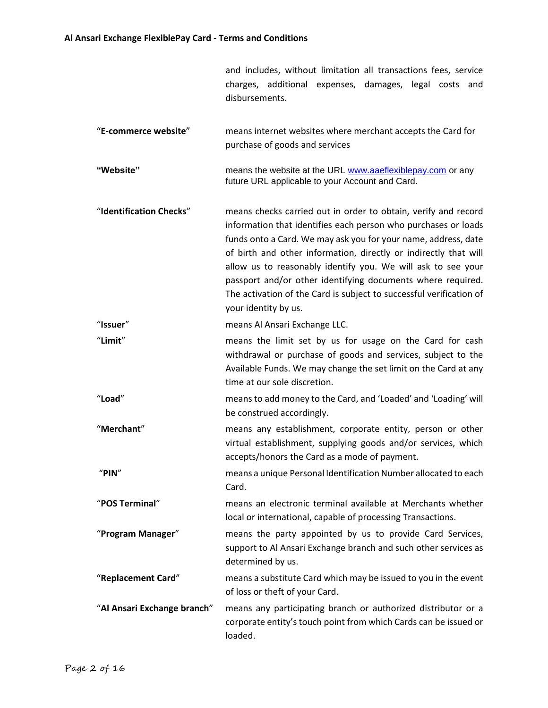|                             | and includes, without limitation all transactions fees, service<br>charges, additional expenses, damages, legal costs and<br>disbursements.                                                                                                                                                                                                                                                                                                                                                          |  |
|-----------------------------|------------------------------------------------------------------------------------------------------------------------------------------------------------------------------------------------------------------------------------------------------------------------------------------------------------------------------------------------------------------------------------------------------------------------------------------------------------------------------------------------------|--|
| "E-commerce website"        | means internet websites where merchant accepts the Card for<br>purchase of goods and services                                                                                                                                                                                                                                                                                                                                                                                                        |  |
| "Website"                   | means the website at the URL www.aaeflexiblepay.com or any<br>future URL applicable to your Account and Card.                                                                                                                                                                                                                                                                                                                                                                                        |  |
| "Identification Checks"     | means checks carried out in order to obtain, verify and record<br>information that identifies each person who purchases or loads<br>funds onto a Card. We may ask you for your name, address, date<br>of birth and other information, directly or indirectly that will<br>allow us to reasonably identify you. We will ask to see your<br>passport and/or other identifying documents where required.<br>The activation of the Card is subject to successful verification of<br>your identity by us. |  |
| "Issuer"                    | means Al Ansari Exchange LLC.                                                                                                                                                                                                                                                                                                                                                                                                                                                                        |  |
| "Limit"                     | means the limit set by us for usage on the Card for cash<br>withdrawal or purchase of goods and services, subject to the<br>Available Funds. We may change the set limit on the Card at any<br>time at our sole discretion.                                                                                                                                                                                                                                                                          |  |
| "Load"                      | means to add money to the Card, and 'Loaded' and 'Loading' will<br>be construed accordingly.                                                                                                                                                                                                                                                                                                                                                                                                         |  |
| "Merchant"                  | means any establishment, corporate entity, person or other<br>virtual establishment, supplying goods and/or services, which<br>accepts/honors the Card as a mode of payment.                                                                                                                                                                                                                                                                                                                         |  |
| "PIN"                       | means a unique Personal Identification Number allocated to each<br>Card.                                                                                                                                                                                                                                                                                                                                                                                                                             |  |
| "POS Terminal"              | means an electronic terminal available at Merchants whether<br>local or international, capable of processing Transactions.                                                                                                                                                                                                                                                                                                                                                                           |  |
| "Program Manager"           | means the party appointed by us to provide Card Services,<br>support to Al Ansari Exchange branch and such other services as<br>determined by us.                                                                                                                                                                                                                                                                                                                                                    |  |
| "Replacement Card"          | means a substitute Card which may be issued to you in the event<br>of loss or theft of your Card.                                                                                                                                                                                                                                                                                                                                                                                                    |  |
| "Al Ansari Exchange branch" | means any participating branch or authorized distributor or a<br>corporate entity's touch point from which Cards can be issued or<br>loaded.                                                                                                                                                                                                                                                                                                                                                         |  |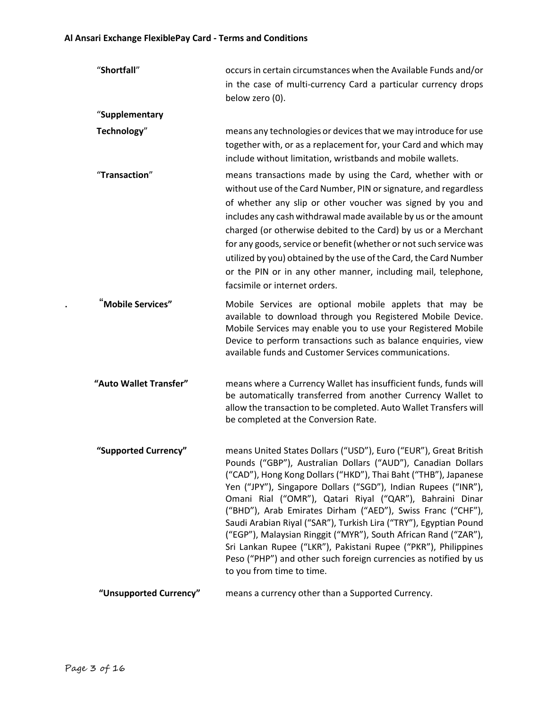| "Shortfall"            | occurs in certain circumstances when the Available Funds and/or<br>in the case of multi-currency Card a particular currency drops<br>below zero (0).                                                                                                                                                                                                                                                                                                                                                                                                                                                                                                                                                        |
|------------------------|-------------------------------------------------------------------------------------------------------------------------------------------------------------------------------------------------------------------------------------------------------------------------------------------------------------------------------------------------------------------------------------------------------------------------------------------------------------------------------------------------------------------------------------------------------------------------------------------------------------------------------------------------------------------------------------------------------------|
| "Supplementary         |                                                                                                                                                                                                                                                                                                                                                                                                                                                                                                                                                                                                                                                                                                             |
| Technology"            | means any technologies or devices that we may introduce for use<br>together with, or as a replacement for, your Card and which may<br>include without limitation, wristbands and mobile wallets.                                                                                                                                                                                                                                                                                                                                                                                                                                                                                                            |
| "Transaction"          | means transactions made by using the Card, whether with or<br>without use of the Card Number, PIN or signature, and regardless<br>of whether any slip or other voucher was signed by you and<br>includes any cash withdrawal made available by us or the amount<br>charged (or otherwise debited to the Card) by us or a Merchant<br>for any goods, service or benefit (whether or not such service was<br>utilized by you) obtained by the use of the Card, the Card Number<br>or the PIN or in any other manner, including mail, telephone,<br>facsimile or internet orders.                                                                                                                              |
| "Mobile Services"      | Mobile Services are optional mobile applets that may be<br>available to download through you Registered Mobile Device.<br>Mobile Services may enable you to use your Registered Mobile<br>Device to perform transactions such as balance enquiries, view<br>available funds and Customer Services communications.                                                                                                                                                                                                                                                                                                                                                                                           |
| "Auto Wallet Transfer" | means where a Currency Wallet has insufficient funds, funds will<br>be automatically transferred from another Currency Wallet to<br>allow the transaction to be completed. Auto Wallet Transfers will<br>be completed at the Conversion Rate.                                                                                                                                                                                                                                                                                                                                                                                                                                                               |
| "Supported Currency"   | means United States Dollars ("USD"), Euro ("EUR"), Great British<br>Pounds ("GBP"), Australian Dollars ("AUD"), Canadian Dollars<br>("CAD"), Hong Kong Dollars ("HKD"), Thai Baht ("THB"), Japanese<br>Yen ("JPY"), Singapore Dollars ("SGD"), Indian Rupees ("INR"),<br>Omani Rial ("OMR"), Qatari Riyal ("QAR"), Bahraini Dinar<br>("BHD"), Arab Emirates Dirham ("AED"), Swiss Franc ("CHF"),<br>Saudi Arabian Riyal ("SAR"), Turkish Lira ("TRY"), Egyptian Pound<br>("EGP"), Malaysian Ringgit ("MYR"), South African Rand ("ZAR"),<br>Sri Lankan Rupee ("LKR"), Pakistani Rupee ("PKR"), Philippines<br>Peso ("PHP") and other such foreign currencies as notified by us<br>to you from time to time. |
| "Unsupported Currency" | means a currency other than a Supported Currency.                                                                                                                                                                                                                                                                                                                                                                                                                                                                                                                                                                                                                                                           |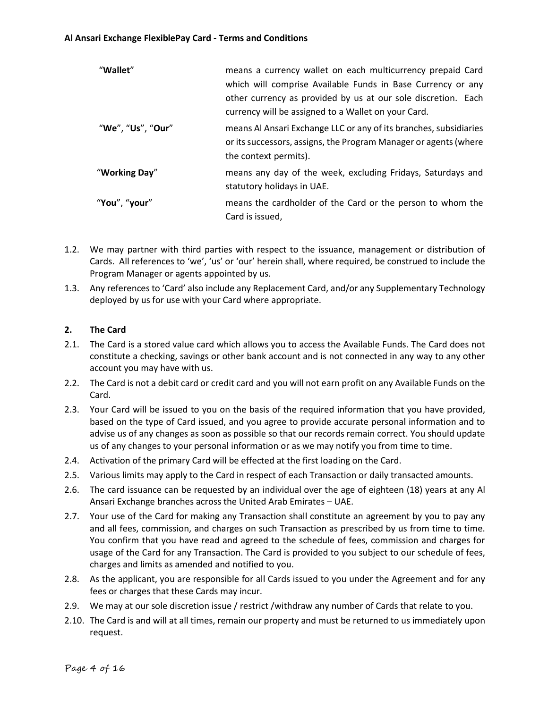| "Wallet"          | means a currency wallet on each multicurrency prepaid Card<br>which will comprise Available Funds in Base Currency or any<br>other currency as provided by us at our sole discretion. Each<br>currency will be assigned to a Wallet on your Card. |
|-------------------|---------------------------------------------------------------------------------------------------------------------------------------------------------------------------------------------------------------------------------------------------|
| "We", "Us", "Our" | means Al Ansari Exchange LLC or any of its branches, subsidiaries<br>or its successors, assigns, the Program Manager or agents (where<br>the context permits).                                                                                    |
| "Working Day"     | means any day of the week, excluding Fridays, Saturdays and<br>statutory holidays in UAE.                                                                                                                                                         |
| "You", "your"     | means the cardholder of the Card or the person to whom the<br>Card is issued,                                                                                                                                                                     |

- 1.2. We may partner with third parties with respect to the issuance, management or distribution of Cards. All references to 'we', 'us' or 'our' herein shall, where required, be construed to include the Program Manager or agents appointed by us.
- 1.3. Any references to 'Card' also include any Replacement Card, and/or any Supplementary Technology deployed by us for use with your Card where appropriate.

# **2. The Card**

- 2.1. The Card is a stored value card which allows you to access the Available Funds. The Card does not constitute a checking, savings or other bank account and is not connected in any way to any other account you may have with us.
- 2.2. The Card is not a debit card or credit card and you will not earn profit on any Available Funds on the Card.
- 2.3. Your Card will be issued to you on the basis of the required information that you have provided, based on the type of Card issued, and you agree to provide accurate personal information and to advise us of any changes as soon as possible so that our records remain correct. You should update us of any changes to your personal information or as we may notify you from time to time.
- 2.4. Activation of the primary Card will be effected at the first loading on the Card.
- 2.5. Various limits may apply to the Card in respect of each Transaction or daily transacted amounts.
- 2.6. The card issuance can be requested by an individual over the age of eighteen (18) years at any Al Ansari Exchange branches across the United Arab Emirates – UAE.
- 2.7. Your use of the Card for making any Transaction shall constitute an agreement by you to pay any and all fees, commission, and charges on such Transaction as prescribed by us from time to time. You confirm that you have read and agreed to the schedule of fees, commission and charges for usage of the Card for any Transaction. The Card is provided to you subject to our schedule of fees, charges and limits as amended and notified to you.
- 2.8. As the applicant, you are responsible for all Cards issued to you under the Agreement and for any fees or charges that these Cards may incur.
- 2.9. We may at our sole discretion issue / restrict /withdraw any number of Cards that relate to you.
- 2.10. The Card is and will at all times, remain our property and must be returned to us immediately upon request.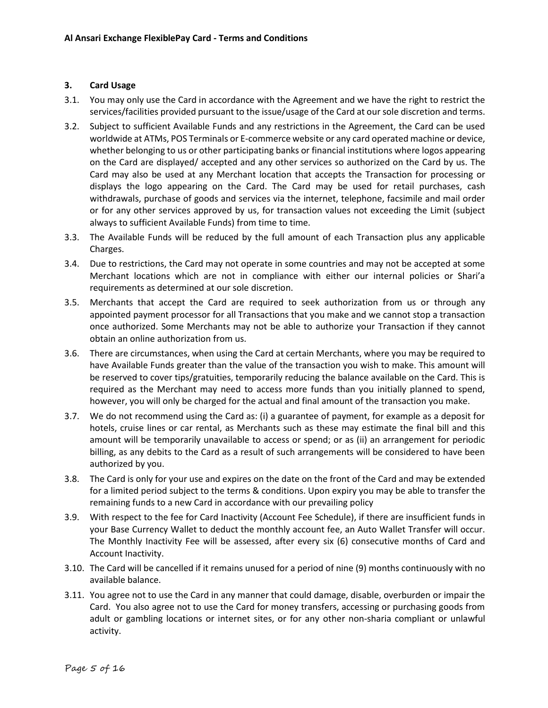# **3. Card Usage**

- 3.1. You may only use the Card in accordance with the Agreement and we have the right to restrict the services/facilities provided pursuant to the issue/usage of the Card at our sole discretion and terms.
- 3.2. Subject to sufficient Available Funds and any restrictions in the Agreement, the Card can be used worldwide at ATMs, POS Terminals or E-commerce website or any card operated machine or device, whether belonging to us or other participating banks or financial institutions where logos appearing on the Card are displayed/ accepted and any other services so authorized on the Card by us. The Card may also be used at any Merchant location that accepts the Transaction for processing or displays the logo appearing on the Card. The Card may be used for retail purchases, cash withdrawals, purchase of goods and services via the internet, telephone, facsimile and mail order or for any other services approved by us, for transaction values not exceeding the Limit (subject always to sufficient Available Funds) from time to time.
- 3.3. The Available Funds will be reduced by the full amount of each Transaction plus any applicable Charges.
- 3.4. Due to restrictions, the Card may not operate in some countries and may not be accepted at some Merchant locations which are not in compliance with either our internal policies or Shari'a requirements as determined at our sole discretion.
- 3.5. Merchants that accept the Card are required to seek authorization from us or through any appointed payment processor for all Transactions that you make and we cannot stop a transaction once authorized. Some Merchants may not be able to authorize your Transaction if they cannot obtain an online authorization from us.
- 3.6. There are circumstances, when using the Card at certain Merchants, where you may be required to have Available Funds greater than the value of the transaction you wish to make. This amount will be reserved to cover tips/gratuities, temporarily reducing the balance available on the Card. This is required as the Merchant may need to access more funds than you initially planned to spend, however, you will only be charged for the actual and final amount of the transaction you make.
- 3.7. We do not recommend using the Card as: (i) a guarantee of payment, for example as a deposit for hotels, cruise lines or car rental, as Merchants such as these may estimate the final bill and this amount will be temporarily unavailable to access or spend; or as (ii) an arrangement for periodic billing, as any debits to the Card as a result of such arrangements will be considered to have been authorized by you.
- 3.8. The Card is only for your use and expires on the date on the front of the Card and may be extended for a limited period subject to the terms & conditions. Upon expiry you may be able to transfer the remaining funds to a new Card in accordance with our prevailing policy
- 3.9. With respect to the fee for Card Inactivity (Account Fee Schedule), if there are insufficient funds in your Base Currency Wallet to deduct the monthly account fee, an Auto Wallet Transfer will occur. The Monthly Inactivity Fee will be assessed, after every six (6) consecutive months of Card and Account Inactivity.
- 3.10. The Card will be cancelled if it remains unused for a period of nine (9) months continuously with no available balance.
- 3.11. You agree not to use the Card in any manner that could damage, disable, overburden or impair the Card. You also agree not to use the Card for money transfers, accessing or purchasing goods from adult or gambling locations or internet sites, or for any other non-sharia compliant or unlawful activity.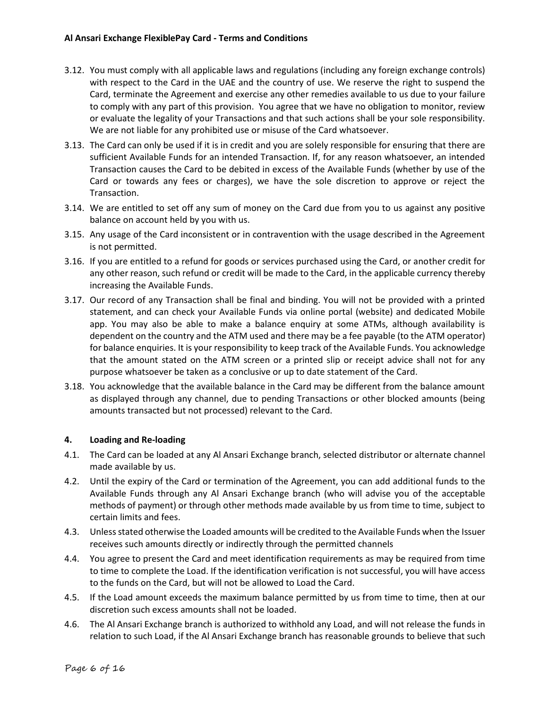- 3.12. You must comply with all applicable laws and regulations (including any foreign exchange controls) with respect to the Card in the UAE and the country of use. We reserve the right to suspend the Card, terminate the Agreement and exercise any other remedies available to us due to your failure to comply with any part of this provision. You agree that we have no obligation to monitor, review or evaluate the legality of your Transactions and that such actions shall be your sole responsibility. We are not liable for any prohibited use or misuse of the Card whatsoever.
- 3.13. The Card can only be used if it is in credit and you are solely responsible for ensuring that there are sufficient Available Funds for an intended Transaction. If, for any reason whatsoever, an intended Transaction causes the Card to be debited in excess of the Available Funds (whether by use of the Card or towards any fees or charges), we have the sole discretion to approve or reject the Transaction.
- 3.14. We are entitled to set off any sum of money on the Card due from you to us against any positive balance on account held by you with us.
- 3.15. Any usage of the Card inconsistent or in contravention with the usage described in the Agreement is not permitted.
- 3.16. If you are entitled to a refund for goods or services purchased using the Card, or another credit for any other reason, such refund or credit will be made to the Card, in the applicable currency thereby increasing the Available Funds.
- 3.17. Our record of any Transaction shall be final and binding. You will not be provided with a printed statement, and can check your Available Funds via online portal (website) and dedicated Mobile app. You may also be able to make a balance enquiry at some ATMs, although availability is dependent on the country and the ATM used and there may be a fee payable (to the ATM operator) for balance enquiries. It is your responsibility to keep track of the Available Funds. You acknowledge that the amount stated on the ATM screen or a printed slip or receipt advice shall not for any purpose whatsoever be taken as a conclusive or up to date statement of the Card.
- 3.18. You acknowledge that the available balance in the Card may be different from the balance amount as displayed through any channel, due to pending Transactions or other blocked amounts (being amounts transacted but not processed) relevant to the Card.

## **4. Loading and Re-loading**

- 4.1. The Card can be loaded at any Al Ansari Exchange branch, selected distributor or alternate channel made available by us.
- 4.2. Until the expiry of the Card or termination of the Agreement, you can add additional funds to the Available Funds through any Al Ansari Exchange branch (who will advise you of the acceptable methods of payment) or through other methods made available by us from time to time, subject to certain limits and fees.
- 4.3. Unless stated otherwise the Loaded amounts will be credited to the Available Funds when the Issuer receives such amounts directly or indirectly through the permitted channels
- 4.4. You agree to present the Card and meet identification requirements as may be required from time to time to complete the Load. If the identification verification is not successful, you will have access to the funds on the Card, but will not be allowed to Load the Card.
- 4.5. If the Load amount exceeds the maximum balance permitted by us from time to time, then at our discretion such excess amounts shall not be loaded.
- 4.6. The Al Ansari Exchange branch is authorized to withhold any Load, and will not release the funds in relation to such Load, if the Al Ansari Exchange branch has reasonable grounds to believe that such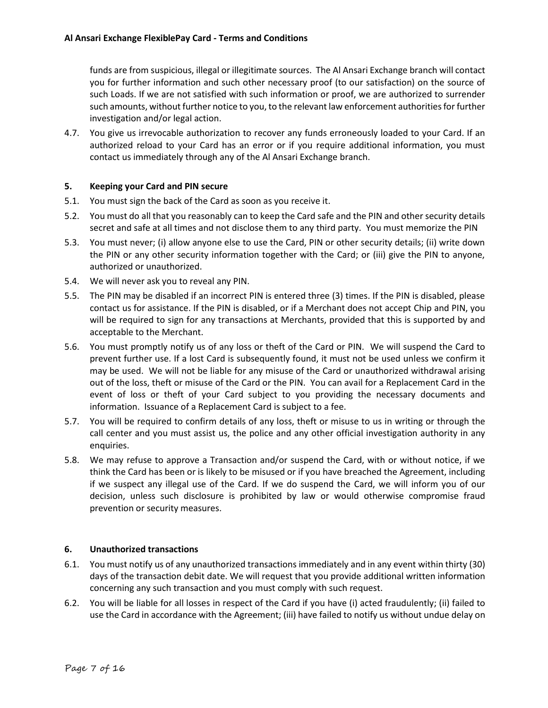funds are from suspicious, illegal or illegitimate sources. The Al Ansari Exchange branch will contact you for further information and such other necessary proof (to our satisfaction) on the source of such Loads. If we are not satisfied with such information or proof, we are authorized to surrender such amounts, without further notice to you, to the relevant law enforcement authorities for further investigation and/or legal action.

4.7. You give us irrevocable authorization to recover any funds erroneously loaded to your Card. If an authorized reload to your Card has an error or if you require additional information, you must contact us immediately through any of the Al Ansari Exchange branch.

## **5. Keeping your Card and PIN secure**

- 5.1. You must sign the back of the Card as soon as you receive it.
- 5.2. You must do all that you reasonably can to keep the Card safe and the PIN and other security details secret and safe at all times and not disclose them to any third party. You must memorize the PIN
- 5.3. You must never; (i) allow anyone else to use the Card, PIN or other security details; (ii) write down the PIN or any other security information together with the Card; or (iii) give the PIN to anyone, authorized or unauthorized.
- 5.4. We will never ask you to reveal any PIN.
- 5.5. The PIN may be disabled if an incorrect PIN is entered three (3) times. If the PIN is disabled, please contact us for assistance. If the PIN is disabled, or if a Merchant does not accept Chip and PIN, you will be required to sign for any transactions at Merchants, provided that this is supported by and acceptable to the Merchant.
- 5.6. You must promptly notify us of any loss or theft of the Card or PIN. We will suspend the Card to prevent further use. If a lost Card is subsequently found, it must not be used unless we confirm it may be used. We will not be liable for any misuse of the Card or unauthorized withdrawal arising out of the loss, theft or misuse of the Card or the PIN. You can avail for a Replacement Card in the event of loss or theft of your Card subject to you providing the necessary documents and information. Issuance of a Replacement Card is subject to a fee.
- 5.7. You will be required to confirm details of any loss, theft or misuse to us in writing or through the call center and you must assist us, the police and any other official investigation authority in any enquiries.
- 5.8. We may refuse to approve a Transaction and/or suspend the Card, with or without notice, if we think the Card has been or is likely to be misused or if you have breached the Agreement, including if we suspect any illegal use of the Card. If we do suspend the Card, we will inform you of our decision, unless such disclosure is prohibited by law or would otherwise compromise fraud prevention or security measures.

#### **6. Unauthorized transactions**

- 6.1. You must notify us of any unauthorized transactions immediately and in any event within thirty (30) days of the transaction debit date. We will request that you provide additional written information concerning any such transaction and you must comply with such request.
- 6.2. You will be liable for all losses in respect of the Card if you have (i) acted fraudulently; (ii) failed to use the Card in accordance with the Agreement; (iii) have failed to notify us without undue delay on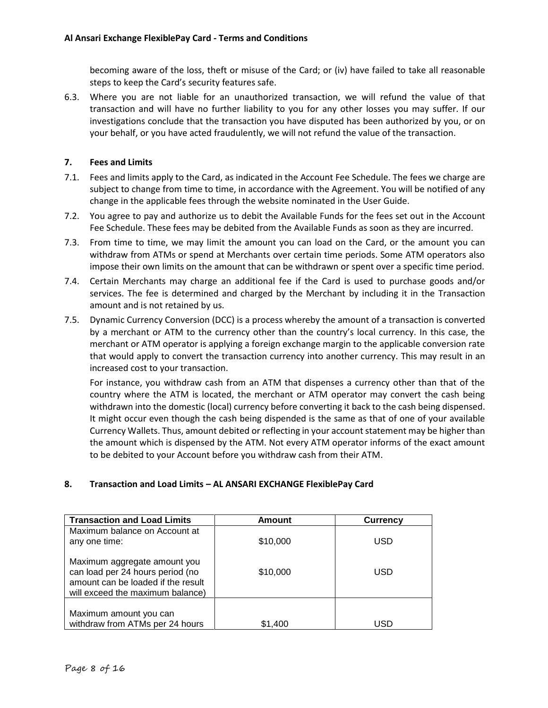becoming aware of the loss, theft or misuse of the Card; or (iv) have failed to take all reasonable steps to keep the Card's security features safe.

6.3. Where you are not liable for an unauthorized transaction, we will refund the value of that transaction and will have no further liability to you for any other losses you may suffer. If our investigations conclude that the transaction you have disputed has been authorized by you, or on your behalf, or you have acted fraudulently, we will not refund the value of the transaction.

# **7. Fees and Limits**

- 7.1. Fees and limits apply to the Card, as indicated in the Account Fee Schedule. The fees we charge are subject to change from time to time, in accordance with the Agreement. You will be notified of any change in the applicable fees through the website nominated in the User Guide.
- 7.2. You agree to pay and authorize us to debit the Available Funds for the fees set out in the Account Fee Schedule. These fees may be debited from the Available Funds as soon as they are incurred.
- 7.3. From time to time, we may limit the amount you can load on the Card, or the amount you can withdraw from ATMs or spend at Merchants over certain time periods. Some ATM operators also impose their own limits on the amount that can be withdrawn or spent over a specific time period.
- 7.4. Certain Merchants may charge an additional fee if the Card is used to purchase goods and/or services. The fee is determined and charged by the Merchant by including it in the Transaction amount and is not retained by us.
- 7.5. Dynamic Currency Conversion (DCC) is a process whereby the amount of a transaction is converted by a merchant or ATM to the currency other than the country's local currency. In this case, the merchant or ATM operator is applying a foreign exchange margin to the applicable conversion rate that would apply to convert the transaction currency into another currency. This may result in an increased cost to your transaction.

For instance, you withdraw cash from an ATM that dispenses a currency other than that of the country where the ATM is located, the merchant or ATM operator may convert the cash being withdrawn into the domestic (local) currency before converting it back to the cash being dispensed. It might occur even though the cash being dispended is the same as that of one of your available Currency Wallets. Thus, amount debited or reflecting in your account statement may be higher than the amount which is dispensed by the ATM. Not every ATM operator informs of the exact amount to be debited to your Account before you withdraw cash from their ATM.

# **8. Transaction and Load Limits – AL ANSARI EXCHANGE FlexiblePay Card**

| <b>Transaction and Load Limits</b>                                                                                                         | Amount   | <b>Currency</b> |
|--------------------------------------------------------------------------------------------------------------------------------------------|----------|-----------------|
| Maximum balance on Account at<br>any one time:                                                                                             | \$10,000 | USD             |
| Maximum aggregate amount you<br>can load per 24 hours period (no<br>amount can be loaded if the result<br>will exceed the maximum balance) | \$10,000 | USD             |
| Maximum amount you can<br>withdraw from ATMs per 24 hours                                                                                  | \$1.400  | USD             |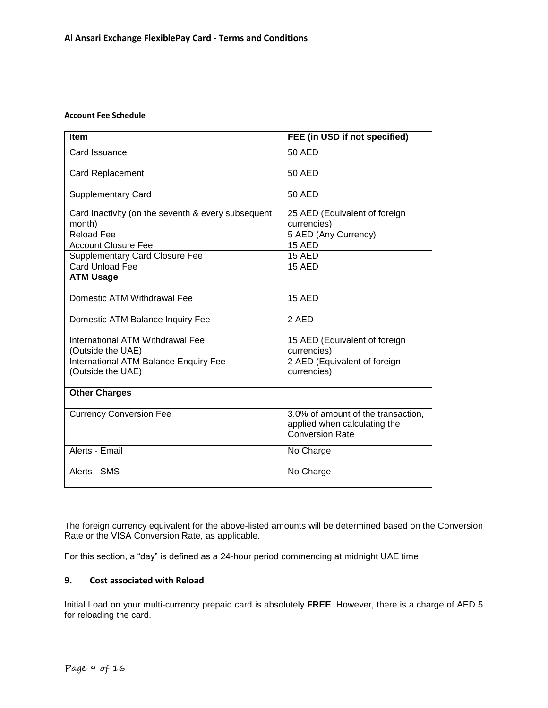#### **Account Fee Schedule**

| <b>Item</b>                                                  | FEE (in USD if not specified)                                                                |  |
|--------------------------------------------------------------|----------------------------------------------------------------------------------------------|--|
| Card Issuance                                                | <b>50 AED</b>                                                                                |  |
| <b>Card Replacement</b>                                      | 50 AED                                                                                       |  |
| <b>Supplementary Card</b>                                    | <b>50 AED</b>                                                                                |  |
| Card Inactivity (on the seventh & every subsequent<br>month) | 25 AED (Equivalent of foreign<br>currencies)                                                 |  |
| <b>Reload Fee</b>                                            | 5 AED (Any Currency)                                                                         |  |
| <b>Account Closure Fee</b>                                   | <b>15 AED</b>                                                                                |  |
| <b>Supplementary Card Closure Fee</b>                        | 15 AED                                                                                       |  |
| Card Unload Fee                                              | 15 AED                                                                                       |  |
| <b>ATM Usage</b>                                             |                                                                                              |  |
| Domestic ATM Withdrawal Fee                                  | <b>15 AED</b>                                                                                |  |
| Domestic ATM Balance Inquiry Fee                             | 2 AED                                                                                        |  |
| International ATM Withdrawal Fee<br>(Outside the UAE)        | 15 AED (Equivalent of foreign<br>currencies)                                                 |  |
| International ATM Balance Enquiry Fee<br>(Outside the UAE)   | 2 AED (Equivalent of foreign<br>currencies)                                                  |  |
| <b>Other Charges</b>                                         |                                                                                              |  |
| <b>Currency Conversion Fee</b>                               | 3.0% of amount of the transaction,<br>applied when calculating the<br><b>Conversion Rate</b> |  |
| Alerts - Email                                               | No Charge                                                                                    |  |
| Alerts - SMS                                                 | No Charge                                                                                    |  |

The foreign currency equivalent for the above-listed amounts will be determined based on the Conversion Rate or the VISA Conversion Rate, as applicable.

For this section, a "day" is defined as a 24-hour period commencing at midnight UAE time

## **9. Cost associated with Reload**

Initial Load on your multi-currency prepaid card is absolutely **FREE**. However, there is a charge of AED 5 for reloading the card.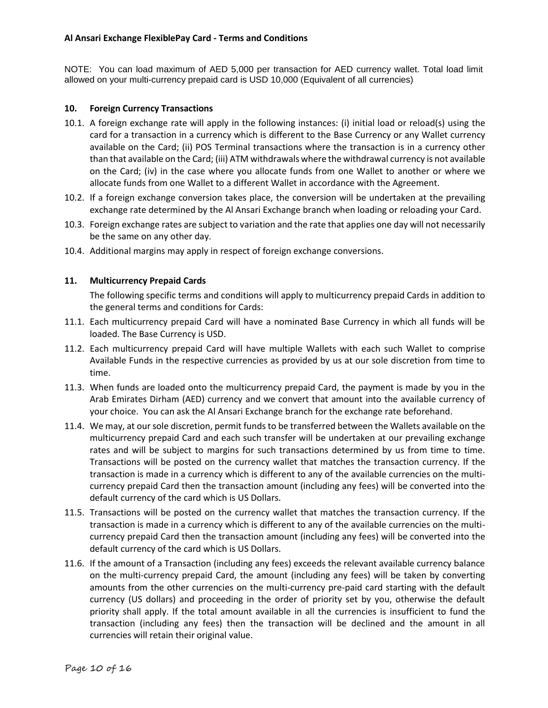## **Al Ansari Exchange FlexiblePay Card - Terms and Conditions**

NOTE: You can load maximum of AED 5,000 per transaction for AED currency wallet. Total load limit allowed on your multi-currency prepaid card is USD 10,000 (Equivalent of all currencies)

## **10. Foreign Currency Transactions**

- 10.1. A foreign exchange rate will apply in the following instances: (i) initial load or reload(s) using the card for a transaction in a currency which is different to the Base Currency or any Wallet currency available on the Card; (ii) POS Terminal transactions where the transaction is in a currency other than that available on the Card; (iii) ATM withdrawals where the withdrawal currency is not available on the Card; (iv) in the case where you allocate funds from one Wallet to another or where we allocate funds from one Wallet to a different Wallet in accordance with the Agreement.
- 10.2. If a foreign exchange conversion takes place, the conversion will be undertaken at the prevailing exchange rate determined by the Al Ansari Exchange branch when loading or reloading your Card.
- 10.3. Foreign exchange rates are subject to variation and the rate that applies one day will not necessarily be the same on any other day.
- 10.4. Additional margins may apply in respect of foreign exchange conversions.

## **11. Multicurrency Prepaid Cards**

The following specific terms and conditions will apply to multicurrency prepaid Cards in addition to the general terms and conditions for Cards:

- 11.1. Each multicurrency prepaid Card will have a nominated Base Currency in which all funds will be loaded. The Base Currency is USD.
- 11.2. Each multicurrency prepaid Card will have multiple Wallets with each such Wallet to comprise Available Funds in the respective currencies as provided by us at our sole discretion from time to time.
- 11.3. When funds are loaded onto the multicurrency prepaid Card, the payment is made by you in the Arab Emirates Dirham (AED) currency and we convert that amount into the available currency of your choice. You can ask the Al Ansari Exchange branch for the exchange rate beforehand.
- 11.4. We may, at our sole discretion, permit funds to be transferred between the Wallets available on the multicurrency prepaid Card and each such transfer will be undertaken at our prevailing exchange rates and will be subject to margins for such transactions determined by us from time to time. Transactions will be posted on the currency wallet that matches the transaction currency. If the transaction is made in a currency which is different to any of the available currencies on the multicurrency prepaid Card then the transaction amount (including any fees) will be converted into the default currency of the card which is US Dollars.
- 11.5. Transactions will be posted on the currency wallet that matches the transaction currency. If the transaction is made in a currency which is different to any of the available currencies on the multicurrency prepaid Card then the transaction amount (including any fees) will be converted into the default currency of the card which is US Dollars.
- 11.6. If the amount of a Transaction (including any fees) exceeds the relevant available currency balance on the multi-currency prepaid Card, the amount (including any fees) will be taken by converting amounts from the other currencies on the multi-currency pre-paid card starting with the default currency (US dollars) and proceeding in the order of priority set by you, otherwise the default priority shall apply. If the total amount available in all the currencies is insufficient to fund the transaction (including any fees) then the transaction will be declined and the amount in all currencies will retain their original value.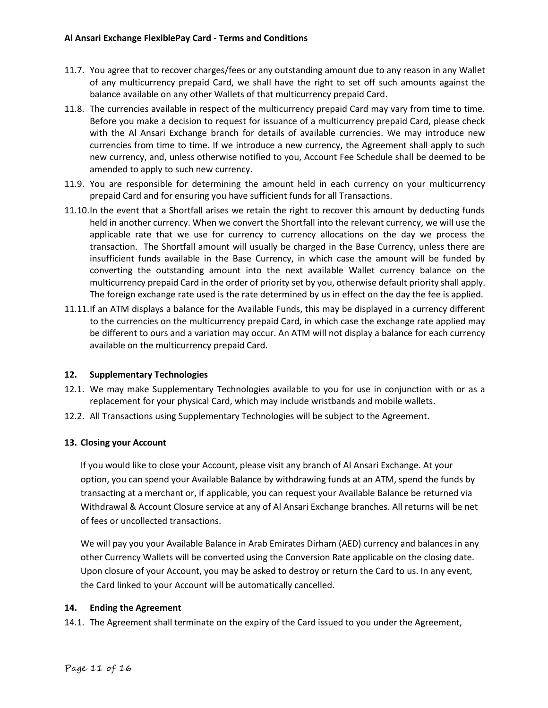- 11.7. You agree that to recover charges/fees or any outstanding amount due to any reason in any Wallet of any multicurrency prepaid Card, we shall have the right to set off such amounts against the balance available on any other Wallets of that multicurrency prepaid Card.
- 11.8. The currencies available in respect of the multicurrency prepaid Card may vary from time to time. Before you make a decision to request for issuance of a multicurrency prepaid Card, please check with the Al Ansari Exchange branch for details of available currencies. We may introduce new currencies from time to time. If we introduce a new currency, the Agreement shall apply to such new currency, and, unless otherwise notified to you, Account Fee Schedule shall be deemed to be amended to apply to such new currency.
- 11.9. You are responsible for determining the amount held in each currency on your multicurrency prepaid Card and for ensuring you have sufficient funds for all Transactions.
- 11.10.In the event that a Shortfall arises we retain the right to recover this amount by deducting funds held in another currency. When we convert the Shortfall into the relevant currency, we will use the applicable rate that we use for currency to currency allocations on the day we process the transaction. The Shortfall amount will usually be charged in the Base Currency, unless there are insufficient funds available in the Base Currency, in which case the amount will be funded by converting the outstanding amount into the next available Wallet currency balance on the multicurrency prepaid Card in the order of priority set by you, otherwise default priority shall apply. The foreign exchange rate used is the rate determined by us in effect on the day the fee is applied.
- 11.11.If an ATM displays a balance for the Available Funds, this may be displayed in a currency different to the currencies on the multicurrency prepaid Card, in which case the exchange rate applied may be different to ours and a variation may occur. An ATM will not display a balance for each currency available on the multicurrency prepaid Card.

## **12. Supplementary Technologies**

- 12.1. We may make Supplementary Technologies available to you for use in conjunction with or as a replacement for your physical Card, which may include wristbands and mobile wallets.
- 12.2. All Transactions using Supplementary Technologies will be subject to the Agreement.

## **13. Closing your Account**

If you would like to close your Account, please visit any branch of Al Ansari Exchange. At your option, you can spend your Available Balance by withdrawing funds at an ATM, spend the funds by transacting at a merchant or, if applicable, you can request your Available Balance be returned via Withdrawal & Account Closure service at any of Al Ansari Exchange branches. All returns will be net of fees or uncollected transactions.

We will pay you your Available Balance in Arab Emirates Dirham (AED) currency and balances in any other Currency Wallets will be converted using the Conversion Rate applicable on the closing date. Upon closure of your Account, you may be asked to destroy or return the Card to us. In any event, the Card linked to your Account will be automatically cancelled.

## <span id="page-10-0"></span>**14. Ending the Agreement**

14.1. The Agreement shall terminate on the expiry of the Card issued to you under the Agreement,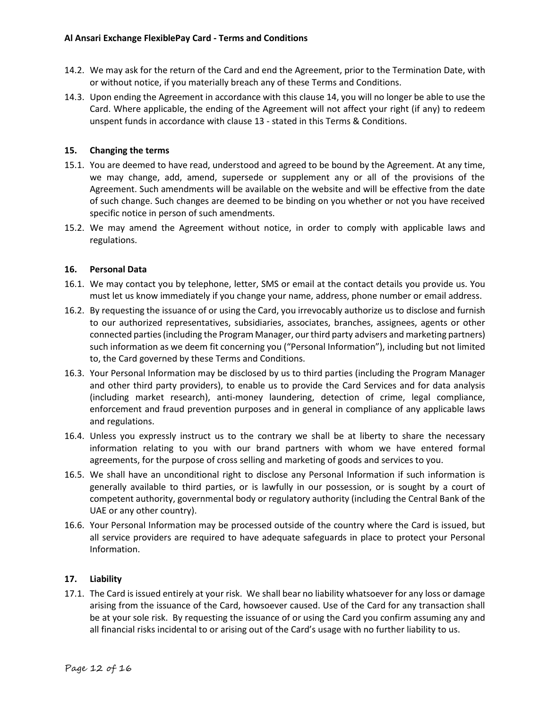- 14.2. We may ask for the return of the Card and end the Agreement, prior to the Termination Date, with or without notice, if you materially breach any of these Terms and Conditions.
- 14.3. Upon ending the Agreement in accordance with this clause [14,](#page-10-0) you will no longer be able to use the Card. Where applicable, the ending of the Agreement will not affect your right (if any) to redeem unspent funds in accordance with clause 13 - stated in this Terms & Conditions.

## **15. Changing the terms**

- 15.1. You are deemed to have read, understood and agreed to be bound by the Agreement. At any time, we may change, add, amend, supersede or supplement any or all of the provisions of the Agreement. Such amendments will be available on the website and will be effective from the date of such change. Such changes are deemed to be binding on you whether or not you have received specific notice in person of such amendments.
- 15.2. We may amend the Agreement without notice, in order to comply with applicable laws and regulations.

## **16. Personal Data**

- 16.1. We may contact you by telephone, letter, SMS or email at the contact details you provide us. You must let us know immediately if you change your name, address, phone number or email address.
- 16.2. By requesting the issuance of or using the Card, you irrevocably authorize us to disclose and furnish to our authorized representatives, subsidiaries, associates, branches, assignees, agents or other connected parties (including the Program Manager, our third party advisers and marketing partners) such information as we deem fit concerning you ("Personal Information"), including but not limited to, the Card governed by these Terms and Conditions.
- 16.3. Your Personal Information may be disclosed by us to third parties (including the Program Manager and other third party providers), to enable us to provide the Card Services and for data analysis (including market research), anti-money laundering, detection of crime, legal compliance, enforcement and fraud prevention purposes and in general in compliance of any applicable laws and regulations.
- 16.4. Unless you expressly instruct us to the contrary we shall be at liberty to share the necessary information relating to you with our brand partners with whom we have entered formal agreements, for the purpose of cross selling and marketing of goods and services to you.
- 16.5. We shall have an unconditional right to disclose any Personal Information if such information is generally available to third parties, or is lawfully in our possession, or is sought by a court of competent authority, governmental body or regulatory authority (including the Central Bank of the UAE or any other country).
- 16.6. Your Personal Information may be processed outside of the country where the Card is issued, but all service providers are required to have adequate safeguards in place to protect your Personal Information.

## **17. Liability**

17.1. The Card is issued entirely at your risk. We shall bear no liability whatsoever for any loss or damage arising from the issuance of the Card, howsoever caused. Use of the Card for any transaction shall be at your sole risk. By requesting the issuance of or using the Card you confirm assuming any and all financial risks incidental to or arising out of the Card's usage with no further liability to us.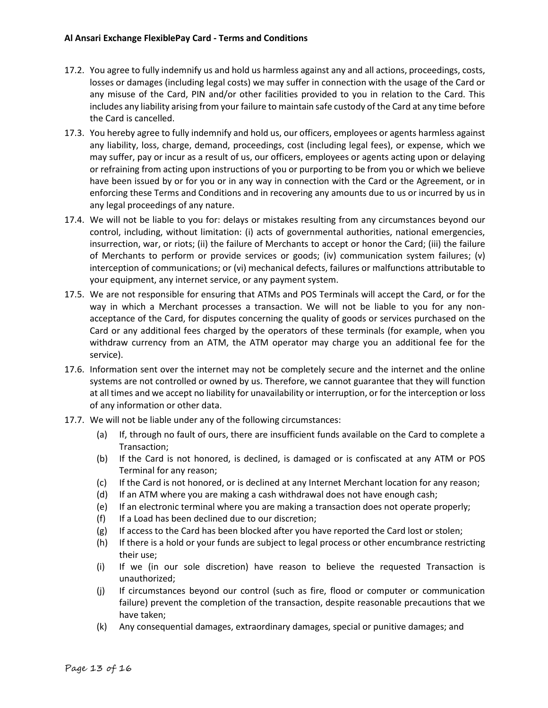- 17.2. You agree to fully indemnify us and hold us harmless against any and all actions, proceedings, costs, losses or damages (including legal costs) we may suffer in connection with the usage of the Card or any misuse of the Card, PIN and/or other facilities provided to you in relation to the Card. This includes any liability arising from your failure to maintain safe custody of the Card at any time before the Card is cancelled.
- 17.3. You hereby agree to fully indemnify and hold us, our officers, employees or agents harmless against any liability, loss, charge, demand, proceedings, cost (including legal fees), or expense, which we may suffer, pay or incur as a result of us, our officers, employees or agents acting upon or delaying or refraining from acting upon instructions of you or purporting to be from you or which we believe have been issued by or for you or in any way in connection with the Card or the Agreement, or in enforcing these Terms and Conditions and in recovering any amounts due to us or incurred by us in any legal proceedings of any nature.
- 17.4. We will not be liable to you for: delays or mistakes resulting from any circumstances beyond our control, including, without limitation: (i) acts of governmental authorities, national emergencies, insurrection, war, or riots; (ii) the failure of Merchants to accept or honor the Card; (iii) the failure of Merchants to perform or provide services or goods; (iv) communication system failures; (v) interception of communications; or (vi) mechanical defects, failures or malfunctions attributable to your equipment, any internet service, or any payment system.
- 17.5. We are not responsible for ensuring that ATMs and POS Terminals will accept the Card, or for the way in which a Merchant processes a transaction. We will not be liable to you for any nonacceptance of the Card, for disputes concerning the quality of goods or services purchased on the Card or any additional fees charged by the operators of these terminals (for example, when you withdraw currency from an ATM, the ATM operator may charge you an additional fee for the service).
- 17.6. Information sent over the internet may not be completely secure and the internet and the online systems are not controlled or owned by us. Therefore, we cannot guarantee that they will function at all times and we accept no liability for unavailability or interruption, or for the interception or loss of any information or other data.
- 17.7. We will not be liable under any of the following circumstances:
	- (a) If, through no fault of ours, there are insufficient funds available on the Card to complete a Transaction;
	- (b) If the Card is not honored, is declined, is damaged or is confiscated at any ATM or POS Terminal for any reason;
	- (c) If the Card is not honored, or is declined at any Internet Merchant location for any reason;
	- (d) If an ATM where you are making a cash withdrawal does not have enough cash;
	- (e) If an electronic terminal where you are making a transaction does not operate properly;
	- (f) If a Load has been declined due to our discretion;
	- (g) If access to the Card has been blocked after you have reported the Card lost or stolen;
	- (h) If there is a hold or your funds are subject to legal process or other encumbrance restricting their use;
	- (i) If we (in our sole discretion) have reason to believe the requested Transaction is unauthorized;
	- (j) If circumstances beyond our control (such as fire, flood or computer or communication failure) prevent the completion of the transaction, despite reasonable precautions that we have taken;
	- (k) Any consequential damages, extraordinary damages, special or punitive damages; and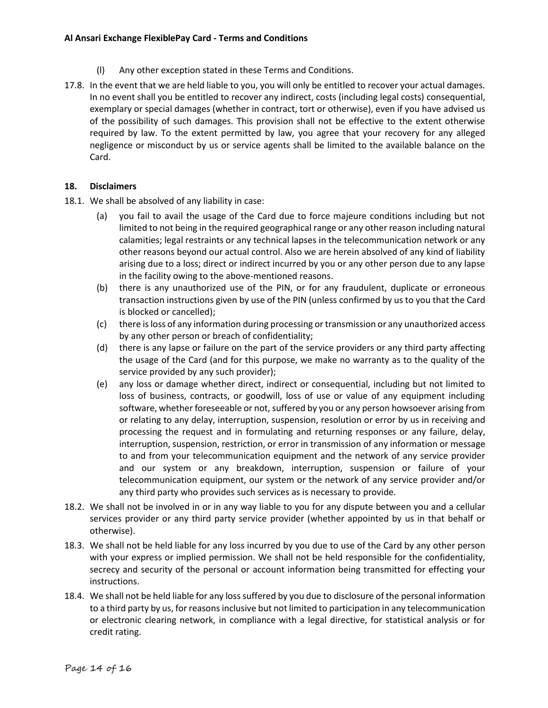## **Al Ansari Exchange FlexiblePay Card - Terms and Conditions**

- (l) Any other exception stated in these Terms and Conditions.
- 17.8. In the event that we are held liable to you, you will only be entitled to recover your actual damages. In no event shall you be entitled to recover any indirect, costs (including legal costs) consequential, exemplary or special damages (whether in contract, tort or otherwise), even if you have advised us of the possibility of such damages. This provision shall not be effective to the extent otherwise required by law. To the extent permitted by law, you agree that your recovery for any alleged negligence or misconduct by us or service agents shall be limited to the available balance on the Card.

## **18. Disclaimers**

- 18.1. We shall be absolved of any liability in case:
	- (a) you fail to avail the usage of the Card due to force majeure conditions including but not limited to not being in the required geographical range or any other reason including natural calamities; legal restraints or any technical lapses in the telecommunication network or any other reasons beyond our actual control. Also we are herein absolved of any kind of liability arising due to a loss; direct or indirect incurred by you or any other person due to any lapse in the facility owing to the above-mentioned reasons.
	- (b) there is any unauthorized use of the PIN, or for any fraudulent, duplicate or erroneous transaction instructions given by use of the PIN (unless confirmed by us to you that the Card is blocked or cancelled);
	- (c) there is loss of any information during processing or transmission or any unauthorized access by any other person or breach of confidentiality;
	- (d) there is any lapse or failure on the part of the service providers or any third party affecting the usage of the Card (and for this purpose, we make no warranty as to the quality of the service provided by any such provider);
	- (e) any loss or damage whether direct, indirect or consequential, including but not limited to loss of business, contracts, or goodwill, loss of use or value of any equipment including software, whether foreseeable or not, suffered by you or any person howsoever arising from or relating to any delay, interruption, suspension, resolution or error by us in receiving and processing the request and in formulating and returning responses or any failure, delay, interruption, suspension, restriction, or error in transmission of any information or message to and from your telecommunication equipment and the network of any service provider and our system or any breakdown, interruption, suspension or failure of your telecommunication equipment, our system or the network of any service provider and/or any third party who provides such services as is necessary to provide.
- 18.2. We shall not be involved in or in any way liable to you for any dispute between you and a cellular services provider or any third party service provider (whether appointed by us in that behalf or otherwise).
- 18.3. We shall not be held liable for any loss incurred by you due to use of the Card by any other person with your express or implied permission. We shall not be held responsible for the confidentiality, secrecy and security of the personal or account information being transmitted for effecting your instructions.
- 18.4. We shall not be held liable for any loss suffered by you due to disclosure of the personal information to a third party by us, for reasons inclusive but not limited to participation in any telecommunication or electronic clearing network, in compliance with a legal directive, for statistical analysis or for credit rating.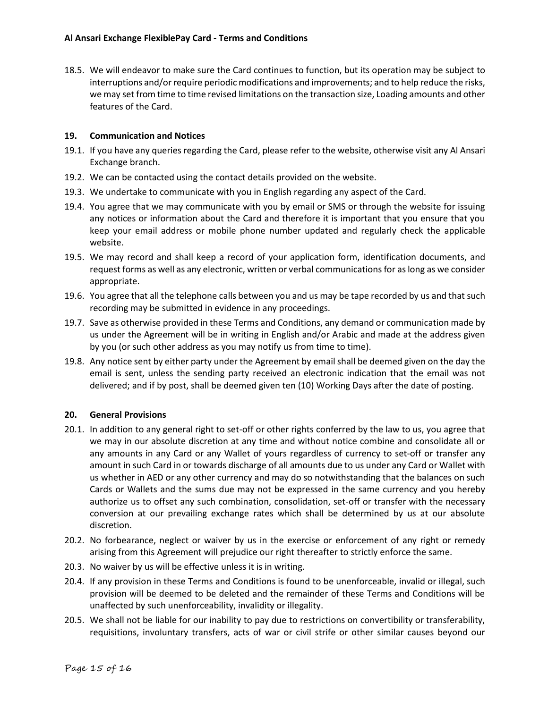18.5. We will endeavor to make sure the Card continues to function, but its operation may be subject to interruptions and/or require periodic modifications and improvements; and to help reduce the risks, we may set from time to time revised limitations on the transaction size, Loading amounts and other features of the Card.

## **19. Communication and Notices**

- 19.1. If you have any queries regarding the Card, please refer to the website, otherwise visit any Al Ansari Exchange branch.
- 19.2. We can be contacted using the contact details provided on the website.
- 19.3. We undertake to communicate with you in English regarding any aspect of the Card.
- 19.4. You agree that we may communicate with you by email or SMS or through the website for issuing any notices or information about the Card and therefore it is important that you ensure that you keep your email address or mobile phone number updated and regularly check the applicable website.
- 19.5. We may record and shall keep a record of your application form, identification documents, and request forms as well as any electronic, written or verbal communications for as long as we consider appropriate.
- 19.6. You agree that all the telephone calls between you and us may be tape recorded by us and that such recording may be submitted in evidence in any proceedings.
- 19.7. Save as otherwise provided in these Terms and Conditions, any demand or communication made by us under the Agreement will be in writing in English and/or Arabic and made at the address given by you (or such other address as you may notify us from time to time).
- 19.8. Any notice sent by either party under the Agreement by email shall be deemed given on the day the email is sent, unless the sending party received an electronic indication that the email was not delivered; and if by post, shall be deemed given ten (10) Working Days after the date of posting.

#### **20. General Provisions**

- 20.1. In addition to any general right to set-off or other rights conferred by the law to us, you agree that we may in our absolute discretion at any time and without notice combine and consolidate all or any amounts in any Card or any Wallet of yours regardless of currency to set-off or transfer any amount in such Card in or towards discharge of all amounts due to us under any Card or Wallet with us whether in AED or any other currency and may do so notwithstanding that the balances on such Cards or Wallets and the sums due may not be expressed in the same currency and you hereby authorize us to offset any such combination, consolidation, set-off or transfer with the necessary conversion at our prevailing exchange rates which shall be determined by us at our absolute discretion.
- 20.2. No forbearance, neglect or waiver by us in the exercise or enforcement of any right or remedy arising from this Agreement will prejudice our right thereafter to strictly enforce the same.
- 20.3. No waiver by us will be effective unless it is in writing.
- 20.4. If any provision in these Terms and Conditions is found to be unenforceable, invalid or illegal, such provision will be deemed to be deleted and the remainder of these Terms and Conditions will be unaffected by such unenforceability, invalidity or illegality.
- 20.5. We shall not be liable for our inability to pay due to restrictions on convertibility or transferability, requisitions, involuntary transfers, acts of war or civil strife or other similar causes beyond our